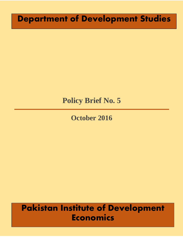# **Department of Development Studies**

# **Policy Brief No. 5**

## **October 2016**

# **Pakistan Institute of Development Economics**